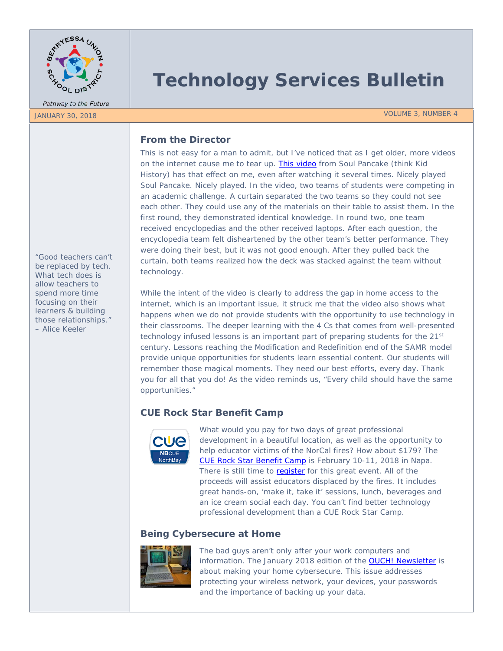

Pathway to the Future

# **Technology Services Bulletin**

JANUARY 30, 2018 VOLUME 3, NUMBER 4

# **From the Director**

This is not easy for a man to admit, but I've noticed that as I get older, more videos on the internet cause me to tear up. [This video](https://youtu.be/cM6xfDBC30A) from Soul Pancake (think Kid History) has that effect on me, even after watching it several times. Nicely played Soul Pancake. Nicely played. In the video, two teams of students were competing in an academic challenge. A curtain separated the two teams so they could not see each other. They could use any of the materials on their table to assist them. In the first round, they demonstrated identical knowledge. In round two, one team received encyclopedias and the other received laptops. After each question, the encyclopedia team felt disheartened by the other team's better performance. They were doing their best, but it was not good enough. After they pulled back the curtain, both teams realized how the deck was stacked against the team without technology.

While the intent of the video is clearly to address the gap in home access to the internet, which is an important issue, it struck me that the video also shows what happens when we do not provide students with the opportunity to use technology in their classrooms. The deeper learning with the 4 Cs that comes from well-presented technology infused lessons is an important part of preparing students for the 21<sup>st</sup> century. Lessons reaching the Modification and Redefinition end of the SAMR model provide unique opportunities for students learn essential content. Our students will remember those magical moments. They need our best efforts, every day. Thank you for all that you do! As the video reminds us, "Every child should have the same opportunities."

# **CUE Rock Star Benefit Camp**



What would you pay for two days of great professional development in a beautiful location, as well as the opportunity to help educator victims of the NorCal fires? How about \$179? The [CUE Rock Star Benefit Camp](http://www.cue.org/rockstar/benefit) is February 10-11, 2018 in Napa. There is still time to [register](https://cueweb.cue.org/cueweb/PDW/PDWWebStore.aspx?pagecode=rockstar) for this great event. All of the proceeds will assist educators displaced by the fires. It includes great hands-on, 'make it, take it' sessions, lunch, beverages and an ice cream social each day. You can't find better technology professional development than a CUE Rock Star Camp.

# **Being Cybersecure at Home**



The bad guys aren't only after your work computers and information. The January 2018 edition of the **[OUCH! Newsletter](https://www.sans.org/sites/default/files/2018-01/201801-OUCH-January-English.pdf)** is about making your home cybersecure. This issue addresses protecting your wireless network, your devices, your passwords and the importance of backing up your data.

*"Good teachers can't be replaced by tech. What tech does is allow teachers to spend more time focusing on their learners & building those relationships." – Alice Keeler*